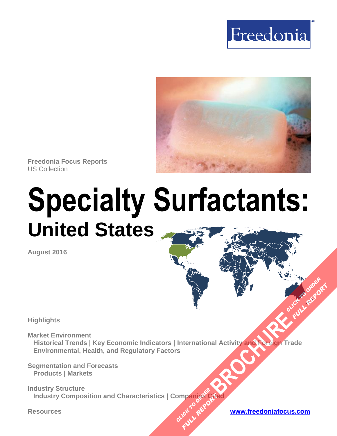



**Freedonia Focus Reports** US Collection

# **Specialty Surfactants: United States**

**August 2016**

**Highlights**

**Market Environment Historical Trends | Key Economic Indicators | International Activity and Foreign Trade Environmental, Health, and Regulatory Factors [BROCHURE](http://www.freedoniagroup.com/FocusDetails.aspx?ReferrerId=FM-FocusBro&ReportID=FF35057) AND THE CLICK TO ORDER**<br>BROCHURE AND TO CLICK TO ORDER

**Segmentation and Forecasts Products | Markets**

**Industry Structure Industry Composition and Characteristics | Companies Cited OMPanjages Plance City** 

**Resources [www.freedoniafocus.com](http://www.freedoniagroup.com/FocusReports.aspx?ReferrerId=FM-FocusBro)**

**FULL REPORT**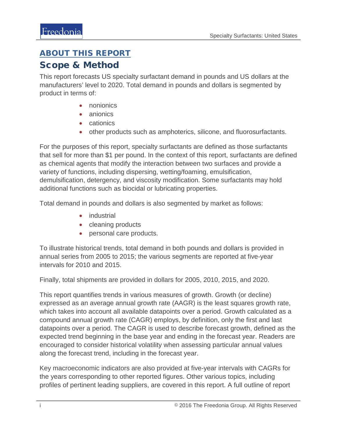## <span id="page-1-0"></span>ABOUT THIS REPORT

## Scope & Method

This report forecasts US specialty surfactant demand in pounds and US dollars at the manufacturers' level to 2020. Total demand in pounds and dollars is segmented by product in terms of:

- nonionics
- anionics
- cationics
- other products such as amphoterics, silicone, and fluorosurfactants.

For the purposes of this report, specialty surfactants are defined as those surfactants that sell for more than \$1 per pound. In the context of this report, surfactants are defined as chemical agents that modify the interaction between two surfaces and provide a variety of functions, including dispersing, wetting/foaming, emulsification, demulsification, detergency, and viscosity modification. Some surfactants may hold additional functions such as biocidal or lubricating properties.

Total demand in pounds and dollars is also segmented by market as follows:

- industrial
- cleaning products
- personal care products.

To illustrate historical trends, total demand in both pounds and dollars is provided in annual series from 2005 to 2015; the various segments are reported at five-year intervals for 2010 and 2015.

Finally, total shipments are provided in dollars for 2005, 2010, 2015, and 2020.

This report quantifies trends in various measures of growth. Growth (or decline) expressed as an average annual growth rate (AAGR) is the least squares growth rate, which takes into account all available datapoints over a period. Growth calculated as a compound annual growth rate (CAGR) employs, by definition, only the first and last datapoints over a period. The CAGR is used to describe forecast growth, defined as the expected trend beginning in the base year and ending in the forecast year. Readers are encouraged to consider historical volatility when assessing particular annual values along the forecast trend, including in the forecast year.

Key macroeconomic indicators are also provided at five-year intervals with CAGRs for the years corresponding to other reported figures. Other various topics, including profiles of pertinent leading suppliers, are covered in this report. A full outline of report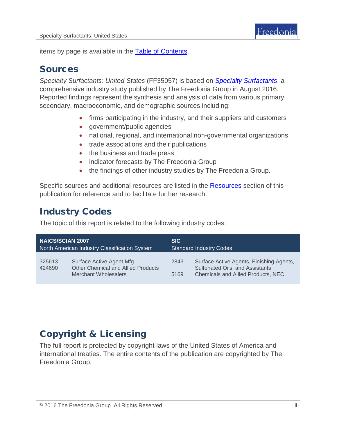items by page is available in the **Table of Contents**.

## Sources

*Specialty Surfactants: United States* (FF35057) is based on *[Specialty Surfactants](http://www.freedoniagroup.com/DocumentDetails.aspx?ReferrerId=FL-FOCUS&studyid=3448)*, a comprehensive industry study published by The Freedonia Group in August 2016. Reported findings represent the synthesis and analysis of data from various primary, secondary, macroeconomic, and demographic sources including:

- firms participating in the industry, and their suppliers and customers
- government/public agencies
- national, regional, and international non-governmental organizations
- trade associations and their publications
- the business and trade press
- indicator forecasts by The Freedonia Group
- the findings of other industry studies by The Freedonia Group.

Specific sources and additional resources are listed in the [Resources](#page-4-0) section of this publication for reference and to facilitate further research.

# Industry Codes

The topic of this report is related to the following industry codes:

| <b>NAICS/SCIAN 2007</b>                       |                                                                                                      | <b>SIC</b>                     |                                                                                                                   |
|-----------------------------------------------|------------------------------------------------------------------------------------------------------|--------------------------------|-------------------------------------------------------------------------------------------------------------------|
| North American Industry Classification System |                                                                                                      | <b>Standard Industry Codes</b> |                                                                                                                   |
| 325613<br>424690                              | Surface Active Agent Mfg<br><b>Other Chemical and Allied Products</b><br><b>Merchant Wholesalers</b> | 2843<br>5169                   | Surface Active Agents, Finishing Agents,<br>Sulfonated Oils, and Assistants<br>Chemicals and Allied Products, NEC |

# Copyright & Licensing

The full report is protected by copyright laws of the United States of America and international treaties. The entire contents of the publication are copyrighted by The Freedonia Group.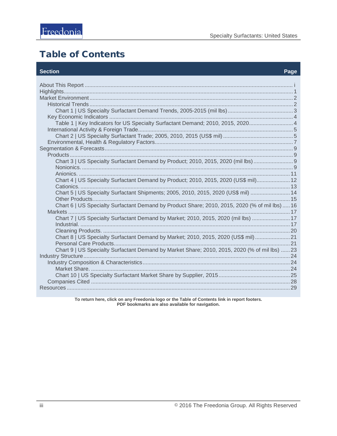# <span id="page-3-0"></span>**Table of Contents**

#### **Section**

#### Page

| Table 1   Key Indicators for US Specialty Surfactant Demand; 2010, 2015, 2020 4                |  |
|------------------------------------------------------------------------------------------------|--|
|                                                                                                |  |
|                                                                                                |  |
|                                                                                                |  |
|                                                                                                |  |
|                                                                                                |  |
| Chart 3   US Specialty Surfactant Demand by Product; 2010, 2015, 2020 (mil lbs)                |  |
|                                                                                                |  |
|                                                                                                |  |
| Chart 4   US Specialty Surfactant Demand by Product; 2010, 2015, 2020 (US\$ mil) 12            |  |
|                                                                                                |  |
| Chart 5   US Specialty Surfactant Shipments; 2005, 2010, 2015, 2020 (US\$ mil)  14             |  |
|                                                                                                |  |
| Chart 6   US Specialty Surfactant Demand by Product Share; 2010, 2015, 2020 (% of mil lbs)  16 |  |
|                                                                                                |  |
| Chart 7   US Specialty Surfactant Demand by Market; 2010, 2015, 2020 (mil lbs)  17             |  |
|                                                                                                |  |
|                                                                                                |  |
| Chart 8   US Specialty Surfactant Demand by Market; 2010, 2015, 2020 (US\$ mil) 21             |  |
|                                                                                                |  |
| Chart 9   US Specialty Surfactant Demand by Market Share; 2010, 2015, 2020 (% of mil lbs) 23   |  |
|                                                                                                |  |
|                                                                                                |  |
|                                                                                                |  |
|                                                                                                |  |
|                                                                                                |  |
|                                                                                                |  |
|                                                                                                |  |

To return here, click on any Freedonia logo or the Table of Contents link in report footers.<br>PDF bookmarks are also available for navigation.